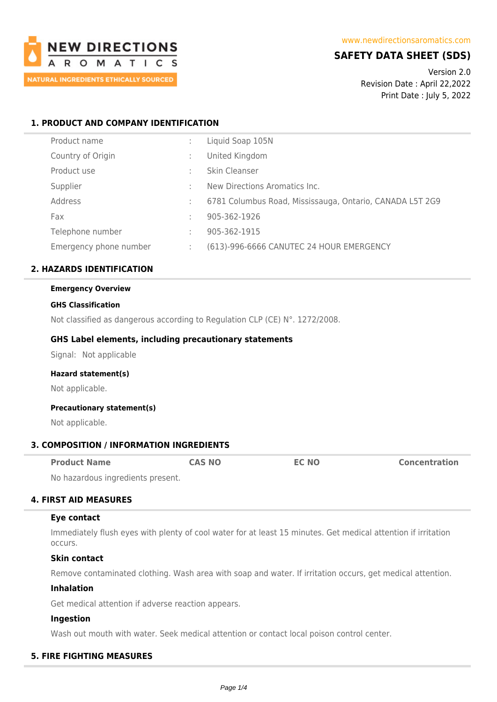

## **SAFETY DATA SHEET (SDS)**

Version 2.0 Revision Date : April 22,2022 Print Date : July 5, 2022

## **1. PRODUCT AND COMPANY IDENTIFICATION**

| Product name           | ÷ | Liquid Soap 105N                                         |
|------------------------|---|----------------------------------------------------------|
| Country of Origin      |   | United Kingdom                                           |
| Product use            | ٠ | Skin Cleanser                                            |
| Supplier               | ٠ | New Directions Aromatics Inc.                            |
| Address                | ÷ | 6781 Columbus Road, Mississauga, Ontario, CANADA L5T 2G9 |
| Fax                    | ÷ | 905-362-1926                                             |
| Telephone number       | ÷ | 905-362-1915                                             |
| Emergency phone number | ÷ | (613)-996-6666 CANUTEC 24 HOUR EMERGENCY                 |

## **2. HAZARDS IDENTIFICATION**

### **Emergency Overview**

#### **GHS Classification**

Not classified as dangerous according to Regulation CLP (CE) N°. 1272/2008.

#### **GHS Label elements, including precautionary statements**

Signal: Not applicable

#### **Hazard statement(s)**

Not applicable.

#### **Precautionary statement(s)**

Not applicable.

### **3. COMPOSITION / INFORMATION INGREDIENTS**

| <b>Product Name</b>              | <b>CAS NO</b> | <b>EC NO</b> | <b>Concentration</b> |
|----------------------------------|---------------|--------------|----------------------|
| No bosardaug ingradiante procent |               |              |                      |

No hazardous ingredients present.

### **4. FIRST AID MEASURES**

#### **Eye contact**

Immediately flush eyes with plenty of cool water for at least 15 minutes. Get medical attention if irritation occurs.

#### **Skin contact**

Remove contaminated clothing. Wash area with soap and water. If irritation occurs, get medical attention.

### **Inhalation**

Get medical attention if adverse reaction appears.

#### **Ingestion**

Wash out mouth with water. Seek medical attention or contact local poison control center.

### **5. FIRE FIGHTING MEASURES**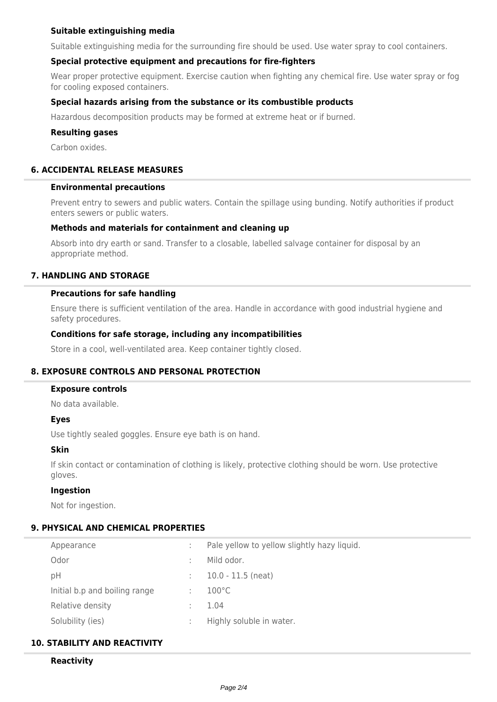### **Suitable extinguishing media**

Suitable extinguishing media for the surrounding fire should be used. Use water spray to cool containers.

## **Special protective equipment and precautions for fire-fighters**

Wear proper protective equipment. Exercise caution when fighting any chemical fire. Use water spray or fog for cooling exposed containers.

### **Special hazards arising from the substance or its combustible products**

Hazardous decomposition products may be formed at extreme heat or if burned.

#### **Resulting gases**

Carbon oxides.

## **6. ACCIDENTAL RELEASE MEASURES**

#### **Environmental precautions**

Prevent entry to sewers and public waters. Contain the spillage using bunding. Notify authorities if product enters sewers or public waters.

#### **Methods and materials for containment and cleaning up**

Absorb into dry earth or sand. Transfer to a closable, labelled salvage container for disposal by an appropriate method.

## **7. HANDLING AND STORAGE**

#### **Precautions for safe handling**

Ensure there is sufficient ventilation of the area. Handle in accordance with good industrial hygiene and safety procedures.

### **Conditions for safe storage, including any incompatibilities**

Store in a cool, well-ventilated area. Keep container tightly closed.

### **8. EXPOSURE CONTROLS AND PERSONAL PROTECTION**

#### **Exposure controls**

No data available.

### **Eyes**

Use tightly sealed goggles. Ensure eye bath is on hand.

#### **Skin**

If skin contact or contamination of clothing is likely, protective clothing should be worn. Use protective gloves.

### **Ingestion**

Not for ingestion.

## **9. PHYSICAL AND CHEMICAL PROPERTIES**

| Appearance                    | Pale yellow to yellow slightly hazy liquid. |
|-------------------------------|---------------------------------------------|
| Odor                          | Mild odor.                                  |
| pH                            | $10.0 - 11.5$ (neat)                        |
| Initial b.p and boiling range | $100^{\circ}$ C                             |
| Relative density              | 1.04                                        |
| Solubility (ies)              | Highly soluble in water.                    |

### **10. STABILITY AND REACTIVITY**

## **Reactivity**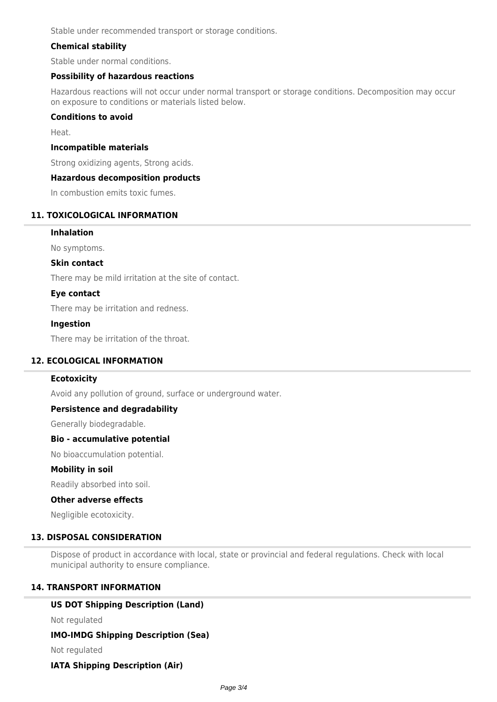Stable under recommended transport or storage conditions.

## **Chemical stability**

Stable under normal conditions.

### **Possibility of hazardous reactions**

Hazardous reactions will not occur under normal transport or storage conditions. Decomposition may occur on exposure to conditions or materials listed below.

### **Conditions to avoid**

Heat.

### **Incompatible materials**

Strong oxidizing agents, Strong acids.

### **Hazardous decomposition products**

In combustion emits toxic fumes.

## **11. TOXICOLOGICAL INFORMATION**

### **Inhalation**

No symptoms.

### **Skin contact**

There may be mild irritation at the site of contact.

#### **Eye contact**

There may be irritation and redness.

#### **Ingestion**

There may be irritation of the throat.

### **12. ECOLOGICAL INFORMATION**

### **Ecotoxicity**

Avoid any pollution of ground, surface or underground water.

### **Persistence and degradability**

Generally biodegradable.

#### **Bio - accumulative potential**

No bioaccumulation potential.

#### **Mobility in soil**

Readily absorbed into soil.

#### **Other adverse effects**

Negligible ecotoxicity.

#### **13. DISPOSAL CONSIDERATION**

Dispose of product in accordance with local, state or provincial and federal regulations. Check with local municipal authority to ensure compliance.

## **14. TRANSPORT INFORMATION**

### **US DOT Shipping Description (Land)**

Not regulated

### **IMO-IMDG Shipping Description (Sea)**

Not regulated

# **IATA Shipping Description (Air)**